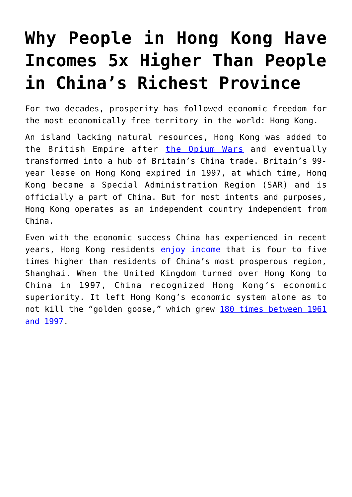## **[Why People in Hong Kong Have](https://intellectualtakeout.org/2018/06/why-people-in-hong-kong-have-incomes-5x-higher-than-people-in-chinas-richest-province/) [Incomes 5x Higher Than People](https://intellectualtakeout.org/2018/06/why-people-in-hong-kong-have-incomes-5x-higher-than-people-in-chinas-richest-province/) [in China's Richest Province](https://intellectualtakeout.org/2018/06/why-people-in-hong-kong-have-incomes-5x-higher-than-people-in-chinas-richest-province/)**

For two decades, prosperity has followed economic freedom for the most economically free territory in the world: Hong Kong.

An island lacking natural resources, Hong Kong was added to the British Empire after [the Opium Wars](https://en.wikipedia.org/wiki/Opium_Wars) and eventually transformed into a hub of Britain's China trade. Britain's 99 year lease on Hong Kong expired in 1997, at which time, Hong Kong became a Special Administration Region (SAR) and is officially a part of China. But for most intents and purposes, Hong Kong operates as an independent country independent from China.

Even with the economic success China has experienced in recent years, Hong Kong residents [enjoy income](https://www.payscale.com/research/HK/Location=Hong-Kong/Salary) that is four to five times higher than residents of China's most prosperous region, Shanghai. When the United Kingdom turned over Hong Kong to China in 1997, China recognized Hong Kong's economic superiority. It left Hong Kong's economic system alone as to not kill the "golden goose," which grew [180 times between 1961](https://en.wikipedia.org/wiki/Hong_Kong) [and 1997.](https://en.wikipedia.org/wiki/Hong_Kong)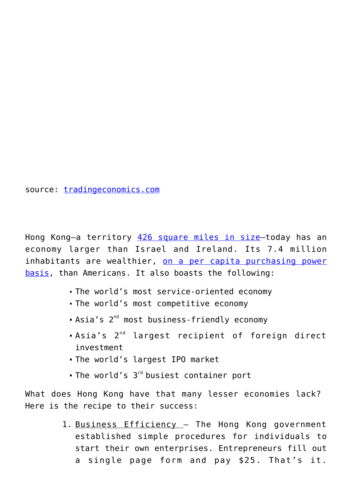source: [tradingeconomics.com](https://tradingeconomics.com/hong-kong/wages)

Hong Kong—a territory [426 square miles in size—](https://en.wikipedia.org/wiki/Hong_Kong)today has an economy larger than Israel and Ireland. Its 7.4 million inhabitants are wealthier, [on a per capita purchasing power](https://en.wikipedia.org/wiki/List_of_countries_by_GDP_(PPP)_per_capita) [basis](https://en.wikipedia.org/wiki/List_of_countries_by_GDP_(PPP)_per_capita), than Americans. It also boasts the following:

- The world's most service-oriented economy
- The world's most competitive economy
- Asia's  $2^{nd}$  most business-friendly economy
- Asia's 2nd largest recipient of foreign direct investment
- The world's largest IPO market
- $\blacksquare$  The world's  $3^{\text{rd}}$  busiest container port

What does Hong Kong have that many lesser economies lack? Here is the recipe to their success:

> 1. Business Efficiency - The Hong Kong government established simple procedures for individuals to start their own enterprises. Entrepreneurs fill out a single page form and pay \$25. That's it.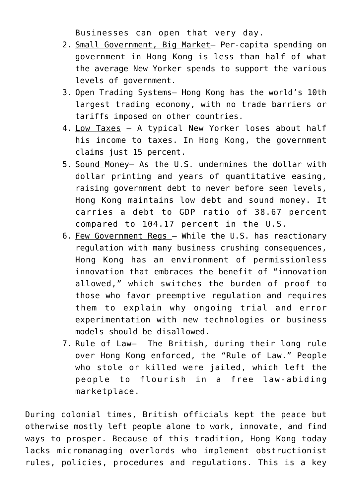Businesses can open that very day.

- 2. Small Government, Big Market– Per-capita spending on government in Hong Kong is less than half of what the average New Yorker spends to support the various levels of government.
- 3. Open Trading Systems– Hong Kong has the world's 10th largest trading economy, with no trade barriers or tariffs imposed on other countries.
- 4. Low Taxes A typical New Yorker loses about half his income to taxes. In Hong Kong, the government claims just 15 percent.
- 5. Sound Money– As the U.S. undermines the dollar with dollar printing and years of quantitative easing, raising government debt to never before seen levels, Hong Kong maintains low debt and sound money. It carries a debt to GDP ratio of 38.67 percent compared to 104.17 percent in the U.S.
- 6. Few Government Regs While the U.S. has reactionary regulation with many business crushing consequences, Hong Kong has an environment of permissionless innovation that embraces the benefit of "innovation allowed," which switches the burden of proof to those who favor preemptive regulation and requires them to explain why ongoing trial and error experimentation with new technologies or business models should be disallowed.
- 7. Rule of Law- The British, during their long rule over Hong Kong enforced, the "Rule of Law." People who stole or killed were jailed, which left the people to flourish in a free law-abiding marketplace.

During colonial times, British officials kept the peace but otherwise mostly left people alone to work, innovate, and find ways to prosper. Because of this tradition, Hong Kong today lacks micromanaging overlords who implement obstructionist rules, policies, procedures and regulations. This is a key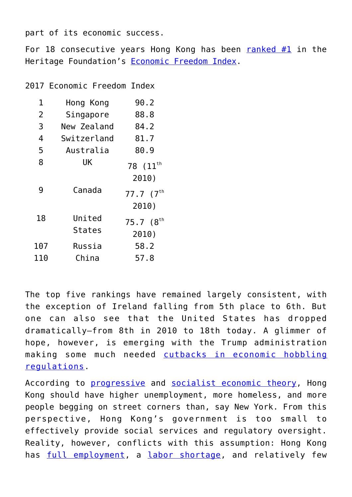part of its economic success.

For 18 consecutive years Hong Kong has been ranked  $#1$  in the Heritage Foundation's [Economic Freedom Index](https://www.heritage.org/index/country/hongkong).

2017 Economic Freedom Index

| 1   | Hong Kong     | 90.2                          |
|-----|---------------|-------------------------------|
| 2   | Singapore     | 88.8                          |
| 3   | New Zealand   | 84.2                          |
| 4   | Switzerland   | 81.7                          |
| 5   | Australia     | 80.9                          |
| 8   | UK            | 78 (11 <sup>th</sup><br>2010) |
| 9   | Canada        | $77.7(7^{th}$<br>2010)        |
| 18  | United        | 75.7 (8                       |
|     | <b>States</b> | 2010)                         |
| 107 | Russia        | 58.2                          |
| 110 | China         | 57.8                          |

The top five rankings have remained largely consistent, with the exception of Ireland falling from 5th place to 6th. But one can also see that the United States has dropped dramatically—from 8th in 2010 to 18th today. A glimmer of hope, however, is emerging with the Trump administration making some much needed [cutbacks in economic hobbling](https://www.washingtonexaminer.com/washington-secrets/boom-team-trump-cuts-nearly-twice-as-many-regulations-as-promised) [regulations.](https://www.washingtonexaminer.com/washington-secrets/boom-team-trump-cuts-nearly-twice-as-many-regulations-as-promised)

According to [progressive](https://www.economicshelp.org/blog/77/economics/problems-of-capitalism/) and [socialist economic theory,](https://www.dsausa.org/capitalism_and_poverty) Hong Kong should have higher unemployment, more homeless, and more people begging on street corners than, say New York. From this perspective, Hong Kong's government is too small to effectively provide social services and regulatory oversight. Reality, however, conflicts with this assumption: Hong Kong has [full employment,](http://www.scmp.com/news/hong-kong/hong-kong-economy/article/2146652/hong-kong-unemployment-hits-20-year-record-low) a [labor shortage,](http://harbourtimes.com/2017/06/08/hong-kong-compelled-to-adapt-to-chronic-labour-shortage/) and relatively few